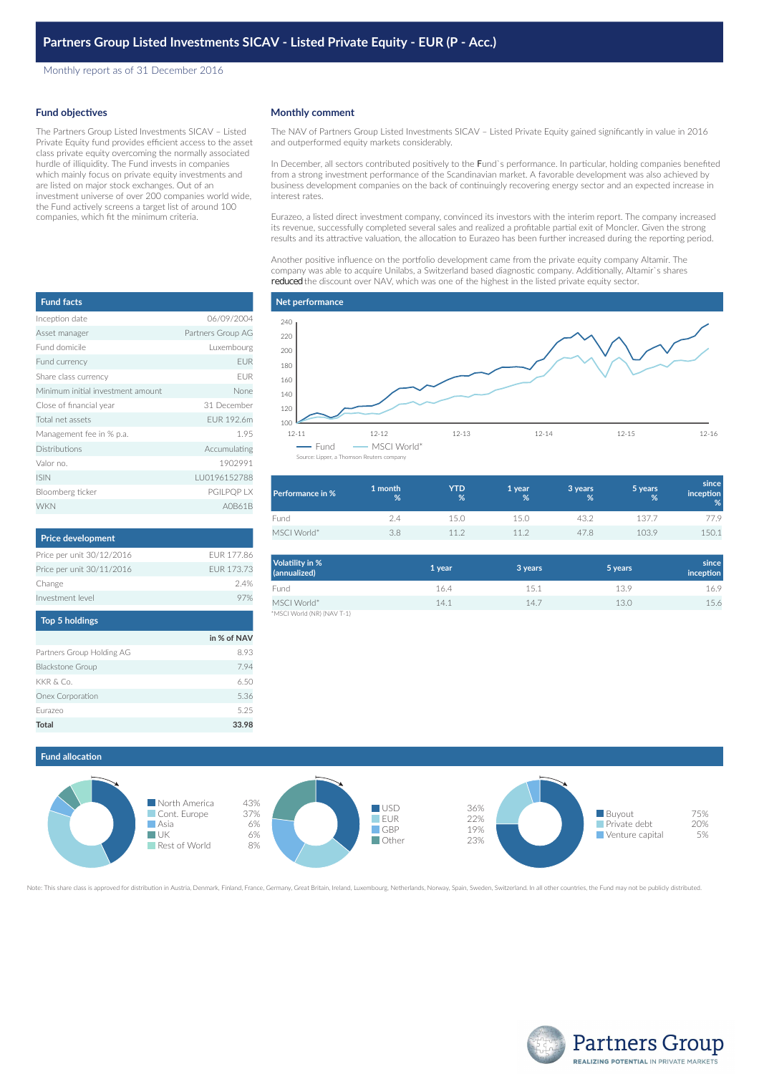Monthly report as of 31 December 2016

### **Fund objectives**

The Partners Group Listed Investments SICAV – Listed Private Equity fund provides efficient access to the asset class private equity overcoming the normally associated hurdle of illiquidity. The Fund invests in companies which mainly focus on private equity investments and are listed on major stock exchanges. Out of an investment universe of over 200 companies world wide, the Fund actively screens a target list of around 100 companies, which fit the minimum criteria.

## **Monthly comment**

The NAV of Partners Group Listed Investments SICAV – Listed Private Equity gained significantly in value in 2016 and outperformed equity markets considerably.

In December, all sectors contributed positively to the Fund`s performance. In particular, holding companies benefited from a strong investment performance of the Scandinavian market. A favorable development was also achieved by business development companies on the back of continuingly recovering energy sector and an expected increase in interest rates.

Eurazeo, a listed direct investment company, convinced its investors with the interim report. The company increased its revenue, successfully completed several sales and realized a profitable partial exit of Moncler. Given the strong results and its attractive valuation, the allocation to Eurazeo has been further increased during the reporting period.

Another positive influence on the portfolio development came from the private equity company Altamir. The company was able to acquire Unilabs, a Switzerland based diagnostic company. Additionally, Altamir`s shares reduced the discount over NAV, which was one of the highest in the listed private equity sector.

## **Net performance**



| Performance in % | 1 month<br>% | <b>YTD</b><br>% | 1 year<br>% | 3 years<br>% | 5 years<br>% | since<br><i>inception</i><br>% |
|------------------|--------------|-----------------|-------------|--------------|--------------|--------------------------------|
| Fund             | 2.4          | 15 O            | 150         | 43.2         | 137.7        | 77.9                           |
| MSCI World*      | 3.8          | 112             | 112         | 47.8         | 103.9        | 150.1                          |

| Volatility in %<br>(annualized) | 1 year | 3 years | 5 years | since<br>inception |
|---------------------------------|--------|---------|---------|--------------------|
| Fund                            | 16.4   | 15.1    | 13.9    | 16.9               |
| MSCI World*                     | 14.1   | 14.7    | 13.0    | 15.6               |
| *MSCI World (NR) (NAV T-1)      |        |         |         |                    |

# **Fund allocation**



Note: This share class is approved for distribution in Austria, Denmark, Finland, France, Germany, Great Britain, Ireland, Luxembourg, Netherlands, Norway, Spain, Sweden, Switzerland. In all other countries, the Fund may n



| <b>Fund facts</b>                 |                   |
|-----------------------------------|-------------------|
| Inception date                    | 06/09/2004        |
| Asset manager                     | Partners Group AG |
| Fund domicile                     | Luxembourg        |
| Fund currency                     | <b>EUR</b>        |
| Share class currency              | <b>FUR</b>        |
| Minimum initial investment amount | None              |
| Close of financial year           | 31 December       |
| Total net assets                  | FUR 192.6m        |
| Management fee in % p.a.          | 1.95              |
| <b>Distributions</b>              | Accumulating      |
| Valor no.                         | 1902991           |
| <b>ISIN</b>                       | LU0196152788      |
| Bloomberg ticker                  | <b>PGILPOP LX</b> |
| <b>WKN</b>                        | A0B61B            |

| <b>Price development</b>  |            |
|---------------------------|------------|
| Price per unit 30/12/2016 | FUR 177.86 |
| Price per unit 30/11/2016 | FUR 173.73 |
| Change                    | 24%        |
| Investment level          | 97%        |
| Ton 5 holdings            |            |

| _________                 |             |
|---------------------------|-------------|
|                           | in % of NAV |
| Partners Group Holding AG | 8.93        |
| <b>Blackstone Group</b>   | 7.94        |
| KKR & Co.                 | 6.50        |
| Onex Corporation          | 5.36        |
| Eurazeo                   | 5.25        |
| <b>Total</b>              | 33.98       |